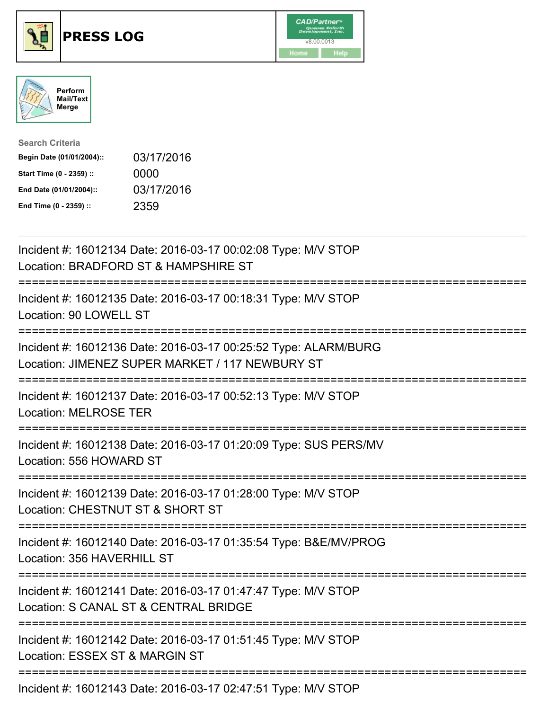





| <b>Search Criteria</b>    |            |
|---------------------------|------------|
| Begin Date (01/01/2004):: | 03/17/2016 |
| Start Time (0 - 2359) ::  | 0000       |
| End Date (01/01/2004)::   | 03/17/2016 |
| End Time (0 - 2359) ::    | 2359       |

| Incident #: 16012134 Date: 2016-03-17 00:02:08 Type: M/V STOP<br>Location: BRADFORD ST & HAMPSHIRE ST                                                     |
|-----------------------------------------------------------------------------------------------------------------------------------------------------------|
| Incident #: 16012135 Date: 2016-03-17 00:18:31 Type: M/V STOP<br>Location: 90 LOWELL ST                                                                   |
| Incident #: 16012136 Date: 2016-03-17 00:25:52 Type: ALARM/BURG<br>Location: JIMENEZ SUPER MARKET / 117 NEWBURY ST<br>:================================== |
| Incident #: 16012137 Date: 2016-03-17 00:52:13 Type: M/V STOP<br><b>Location: MELROSE TER</b>                                                             |
| Incident #: 16012138 Date: 2016-03-17 01:20:09 Type: SUS PERS/MV<br>Location: 556 HOWARD ST                                                               |
| Incident #: 16012139 Date: 2016-03-17 01:28:00 Type: M/V STOP<br>Location: CHESTNUT ST & SHORT ST                                                         |
| Incident #: 16012140 Date: 2016-03-17 01:35:54 Type: B&E/MV/PROG<br>Location: 356 HAVERHILL ST<br>======================================                  |
| Incident #: 16012141 Date: 2016-03-17 01:47:47 Type: M/V STOP<br>Location: S CANAL ST & CENTRAL BRIDGE                                                    |
| Incident #: 16012142 Date: 2016-03-17 01:51:45 Type: M/V STOP<br>Location: ESSEX ST & MARGIN ST                                                           |
| $Inoidal H: 40019149 \text{ Doto}$ ; $9046.9247.0247554$ Tuno; $MNL$ CTOD                                                                                 |

Incident #: 16012143 Date: 2016-03-17 02:47:51 Type: M/V STOP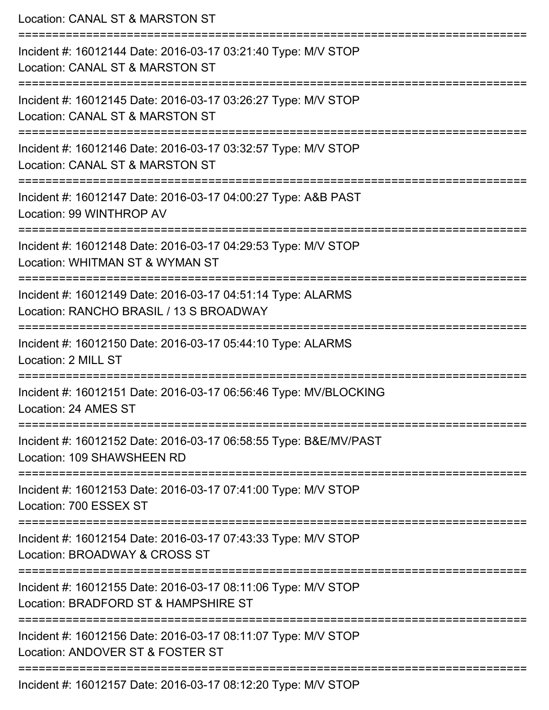| Location: CANAL ST & MARSTON ST                                                                                                     |
|-------------------------------------------------------------------------------------------------------------------------------------|
| Incident #: 16012144 Date: 2016-03-17 03:21:40 Type: M/V STOP<br>Location: CANAL ST & MARSTON ST                                    |
| Incident #: 16012145 Date: 2016-03-17 03:26:27 Type: M/V STOP<br>Location: CANAL ST & MARSTON ST                                    |
| Incident #: 16012146 Date: 2016-03-17 03:32:57 Type: M/V STOP<br>Location: CANAL ST & MARSTON ST                                    |
| Incident #: 16012147 Date: 2016-03-17 04:00:27 Type: A&B PAST<br>Location: 99 WINTHROP AV                                           |
| Incident #: 16012148 Date: 2016-03-17 04:29:53 Type: M/V STOP<br>Location: WHITMAN ST & WYMAN ST<br>:============================== |
| Incident #: 16012149 Date: 2016-03-17 04:51:14 Type: ALARMS<br>Location: RANCHO BRASIL / 13 S BROADWAY                              |
| Incident #: 16012150 Date: 2016-03-17 05:44:10 Type: ALARMS<br>Location: 2 MILL ST                                                  |
| Incident #: 16012151 Date: 2016-03-17 06:56:46 Type: MV/BLOCKING<br>Location: 24 AMES ST                                            |
| Incident #: 16012152 Date: 2016-03-17 06:58:55 Type: B&E/MV/PAST<br>Location: 109 SHAWSHEEN RD                                      |
| Incident #: 16012153 Date: 2016-03-17 07:41:00 Type: M/V STOP<br>Location: 700 ESSEX ST                                             |
| Incident #: 16012154 Date: 2016-03-17 07:43:33 Type: M/V STOP<br>Location: BROADWAY & CROSS ST                                      |
| Incident #: 16012155 Date: 2016-03-17 08:11:06 Type: M/V STOP<br>Location: BRADFORD ST & HAMPSHIRE ST                               |
| Incident #: 16012156 Date: 2016-03-17 08:11:07 Type: M/V STOP<br>Location: ANDOVER ST & FOSTER ST                                   |
| $570$ Deta: $0040024700.40.005$ is a MALCTOF                                                                                        |

Incident #: 16012157 Date: 2016-03-17 08:12:20 Type: M/V STOP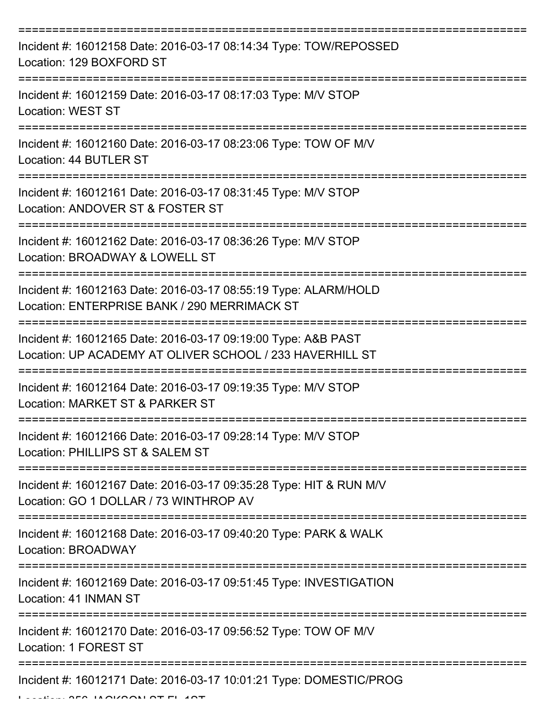| Incident #: 16012158 Date: 2016-03-17 08:14:34 Type: TOW/REPOSSED<br>Location: 129 BOXFORD ST                             |
|---------------------------------------------------------------------------------------------------------------------------|
| Incident #: 16012159 Date: 2016-03-17 08:17:03 Type: M/V STOP<br><b>Location: WEST ST</b>                                 |
| Incident #: 16012160 Date: 2016-03-17 08:23:06 Type: TOW OF M/V<br>Location: 44 BUTLER ST                                 |
| Incident #: 16012161 Date: 2016-03-17 08:31:45 Type: M/V STOP<br>Location: ANDOVER ST & FOSTER ST                         |
| Incident #: 16012162 Date: 2016-03-17 08:36:26 Type: M/V STOP<br>Location: BROADWAY & LOWELL ST                           |
| Incident #: 16012163 Date: 2016-03-17 08:55:19 Type: ALARM/HOLD<br>Location: ENTERPRISE BANK / 290 MERRIMACK ST           |
| Incident #: 16012165 Date: 2016-03-17 09:19:00 Type: A&B PAST<br>Location: UP ACADEMY AT OLIVER SCHOOL / 233 HAVERHILL ST |
| Incident #: 16012164 Date: 2016-03-17 09:19:35 Type: M/V STOP<br>Location: MARKET ST & PARKER ST                          |
| Incident #: 16012166 Date: 2016-03-17 09:28:14 Type: M/V STOP<br>Location: PHILLIPS ST & SALEM ST                         |
| Incident #: 16012167 Date: 2016-03-17 09:35:28 Type: HIT & RUN M/V<br>Location: GO 1 DOLLAR / 73 WINTHROP AV              |
| Incident #: 16012168 Date: 2016-03-17 09:40:20 Type: PARK & WALK<br>Location: BROADWAY                                    |
| Incident #: 16012169 Date: 2016-03-17 09:51:45 Type: INVESTIGATION<br>Location: 41 INMAN ST                               |
| Incident #: 16012170 Date: 2016-03-17 09:56:52 Type: TOW OF M/V<br>Location: 1 FOREST ST                                  |
| Incident #: 16012171 Date: 2016-03-17 10:01:21 Type: DOMESTIC/PROG                                                        |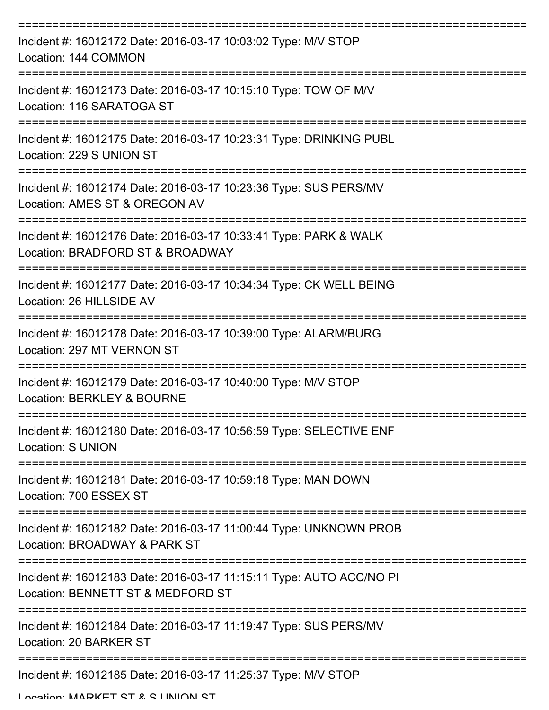| Incident #: 16012172 Date: 2016-03-17 10:03:02 Type: M/V STOP<br>Location: 144 COMMON                    |
|----------------------------------------------------------------------------------------------------------|
| Incident #: 16012173 Date: 2016-03-17 10:15:10 Type: TOW OF M/V<br>Location: 116 SARATOGA ST             |
| Incident #: 16012175 Date: 2016-03-17 10:23:31 Type: DRINKING PUBL<br>Location: 229 S UNION ST           |
| Incident #: 16012174 Date: 2016-03-17 10:23:36 Type: SUS PERS/MV<br>Location: AMES ST & OREGON AV        |
| Incident #: 16012176 Date: 2016-03-17 10:33:41 Type: PARK & WALK<br>Location: BRADFORD ST & BROADWAY     |
| Incident #: 16012177 Date: 2016-03-17 10:34:34 Type: CK WELL BEING<br>Location: 26 HILLSIDE AV           |
| Incident #: 16012178 Date: 2016-03-17 10:39:00 Type: ALARM/BURG<br>Location: 297 MT VERNON ST            |
| Incident #: 16012179 Date: 2016-03-17 10:40:00 Type: M/V STOP<br>Location: BERKLEY & BOURNE              |
| Incident #: 16012180 Date: 2016-03-17 10:56:59 Type: SELECTIVE ENF<br><b>Location: S UNION</b>           |
| Incident #: 16012181 Date: 2016-03-17 10:59:18 Type: MAN DOWN<br>Location: 700 ESSEX ST                  |
| Incident #: 16012182 Date: 2016-03-17 11:00:44 Type: UNKNOWN PROB<br>Location: BROADWAY & PARK ST        |
| Incident #: 16012183 Date: 2016-03-17 11:15:11 Type: AUTO ACC/NO PI<br>Location: BENNETT ST & MEDFORD ST |
| Incident #: 16012184 Date: 2016-03-17 11:19:47 Type: SUS PERS/MV<br>Location: 20 BARKER ST               |
| Incident #: 16012185 Date: 2016-03-17 11:25:37 Type: M/V STOP<br>Location: MADVET CT & C LINIION CT      |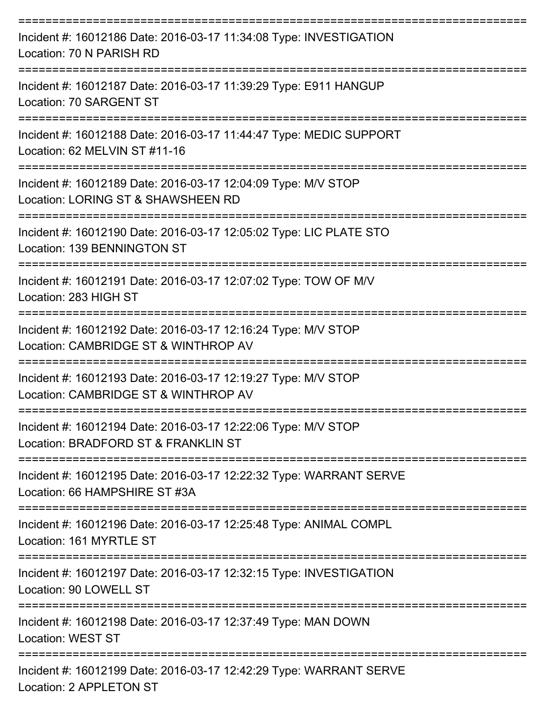| Incident #: 16012186 Date: 2016-03-17 11:34:08 Type: INVESTIGATION<br>Location: 70 N PARISH RD        |
|-------------------------------------------------------------------------------------------------------|
| Incident #: 16012187 Date: 2016-03-17 11:39:29 Type: E911 HANGUP<br>Location: 70 SARGENT ST           |
| Incident #: 16012188 Date: 2016-03-17 11:44:47 Type: MEDIC SUPPORT<br>Location: 62 MELVIN ST #11-16   |
| Incident #: 16012189 Date: 2016-03-17 12:04:09 Type: M/V STOP<br>Location: LORING ST & SHAWSHEEN RD   |
| Incident #: 16012190 Date: 2016-03-17 12:05:02 Type: LIC PLATE STO<br>Location: 139 BENNINGTON ST     |
| Incident #: 16012191 Date: 2016-03-17 12:07:02 Type: TOW OF M/V<br>Location: 283 HIGH ST              |
| Incident #: 16012192 Date: 2016-03-17 12:16:24 Type: M/V STOP<br>Location: CAMBRIDGE ST & WINTHROP AV |
| Incident #: 16012193 Date: 2016-03-17 12:19:27 Type: M/V STOP<br>Location: CAMBRIDGE ST & WINTHROP AV |
| Incident #: 16012194 Date: 2016-03-17 12:22:06 Type: M/V STOP<br>Location: BRADFORD ST & FRANKLIN ST  |
| Incident #: 16012195 Date: 2016-03-17 12:22:32 Type: WARRANT SERVE<br>Location: 66 HAMPSHIRE ST #3A   |
| Incident #: 16012196 Date: 2016-03-17 12:25:48 Type: ANIMAL COMPL<br>Location: 161 MYRTLE ST          |
| Incident #: 16012197 Date: 2016-03-17 12:32:15 Type: INVESTIGATION<br>Location: 90 LOWELL ST          |
| Incident #: 16012198 Date: 2016-03-17 12:37:49 Type: MAN DOWN<br><b>Location: WEST ST</b>             |
| Incident #: 16012199 Date: 2016-03-17 12:42:29 Type: WARRANT SERVE<br>Location: 2 APPLETON ST         |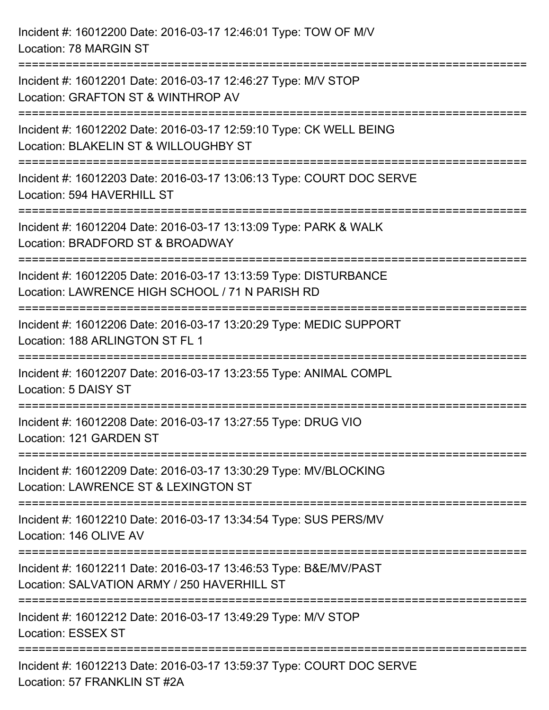Incident #: 16012200 Date: 2016-03-17 12:46:01 Type: TOW OF M/V Location: 78 MARGIN ST =========================================================================== Incident #: 16012201 Date: 2016-03-17 12:46:27 Type: M/V STOP Location: GRAFTON ST & WINTHROP AV =========================================================================== Incident #: 16012202 Date: 2016-03-17 12:59:10 Type: CK WELL BEING Location: BLAKELIN ST & WILLOUGHBY ST =========================================================================== Incident #: 16012203 Date: 2016-03-17 13:06:13 Type: COURT DOC SERVE Location: 594 HAVERHILL ST =========================================================================== Incident #: 16012204 Date: 2016-03-17 13:13:09 Type: PARK & WALK Location: BRADFORD ST & BROADWAY =========================================================================== Incident #: 16012205 Date: 2016-03-17 13:13:59 Type: DISTURBANCE Location: LAWRENCE HIGH SCHOOL / 71 N PARISH RD =========================================================================== Incident #: 16012206 Date: 2016-03-17 13:20:29 Type: MEDIC SUPPORT Location: 188 ARLINGTON ST FL 1 =========================================================================== Incident #: 16012207 Date: 2016-03-17 13:23:55 Type: ANIMAL COMPL Location: 5 DAISY ST =========================================================================== Incident #: 16012208 Date: 2016-03-17 13:27:55 Type: DRUG VIO Location: 121 GARDEN ST =========================================================================== Incident #: 16012209 Date: 2016-03-17 13:30:29 Type: MV/BLOCKING Location: LAWRENCE ST & LEXINGTON ST =========================================================================== Incident #: 16012210 Date: 2016-03-17 13:34:54 Type: SUS PERS/MV Location: 146 OLIVE AV =========================================================================== Incident #: 16012211 Date: 2016-03-17 13:46:53 Type: B&E/MV/PAST Location: SALVATION ARMY / 250 HAVERHILL ST =========================================================================== Incident #: 16012212 Date: 2016-03-17 13:49:29 Type: M/V STOP Location: ESSEX ST =========================================================================== Incident #: 16012213 Date: 2016-03-17 13:59:37 Type: COURT DOC SERVE Location: 57 FRANKLIN ST #2A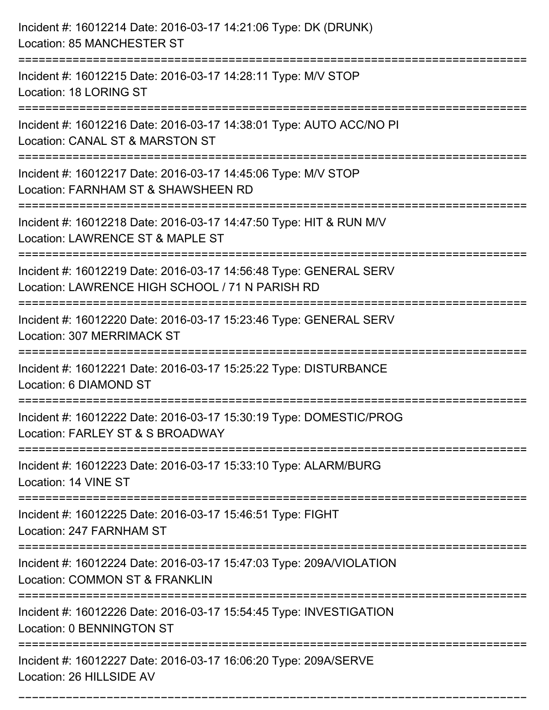| Incident #: 16012214 Date: 2016-03-17 14:21:06 Type: DK (DRUNK)<br>Location: 85 MANCHESTER ST                                             |
|-------------------------------------------------------------------------------------------------------------------------------------------|
| ========================<br>Incident #: 16012215 Date: 2016-03-17 14:28:11 Type: M/V STOP<br>Location: 18 LORING ST                       |
| Incident #: 16012216 Date: 2016-03-17 14:38:01 Type: AUTO ACC/NO PI<br>Location: CANAL ST & MARSTON ST<br>=============================== |
| Incident #: 16012217 Date: 2016-03-17 14:45:06 Type: M/V STOP<br>Location: FARNHAM ST & SHAWSHEEN RD                                      |
| Incident #: 16012218 Date: 2016-03-17 14:47:50 Type: HIT & RUN M/V<br>Location: LAWRENCE ST & MAPLE ST<br>================                |
| Incident #: 16012219 Date: 2016-03-17 14:56:48 Type: GENERAL SERV<br>Location: LAWRENCE HIGH SCHOOL / 71 N PARISH RD                      |
| Incident #: 16012220 Date: 2016-03-17 15:23:46 Type: GENERAL SERV<br>Location: 307 MERRIMACK ST                                           |
| Incident #: 16012221 Date: 2016-03-17 15:25:22 Type: DISTURBANCE<br>Location: 6 DIAMOND ST                                                |
| Incident #: 16012222 Date: 2016-03-17 15:30:19 Type: DOMESTIC/PROG<br>Location: FARLEY ST & S BROADWAY                                    |
| Incident #: 16012223 Date: 2016-03-17 15:33:10 Type: ALARM/BURG<br>Location: 14 VINE ST                                                   |
| Incident #: 16012225 Date: 2016-03-17 15:46:51 Type: FIGHT<br>Location: 247 FARNHAM ST                                                    |
| Incident #: 16012224 Date: 2016-03-17 15:47:03 Type: 209A/VIOLATION<br>Location: COMMON ST & FRANKLIN                                     |
| Incident #: 16012226 Date: 2016-03-17 15:54:45 Type: INVESTIGATION<br>Location: 0 BENNINGTON ST                                           |
| Incident #: 16012227 Date: 2016-03-17 16:06:20 Type: 209A/SERVE<br>Location: 26 HILLSIDE AV                                               |

===========================================================================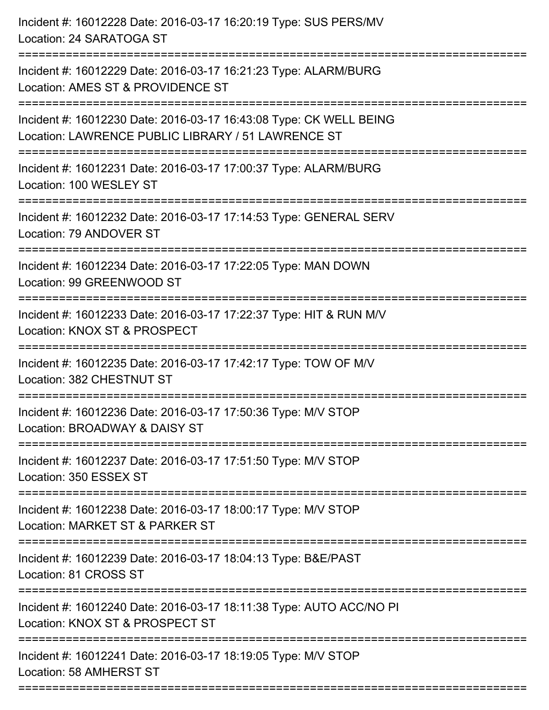| Incident #: 16012228 Date: 2016-03-17 16:20:19 Type: SUS PERS/MV<br>Location: 24 SARATOGA ST                             |
|--------------------------------------------------------------------------------------------------------------------------|
| Incident #: 16012229 Date: 2016-03-17 16:21:23 Type: ALARM/BURG<br>Location: AMES ST & PROVIDENCE ST                     |
| Incident #: 16012230 Date: 2016-03-17 16:43:08 Type: CK WELL BEING<br>Location: LAWRENCE PUBLIC LIBRARY / 51 LAWRENCE ST |
| Incident #: 16012231 Date: 2016-03-17 17:00:37 Type: ALARM/BURG<br>Location: 100 WESLEY ST                               |
| Incident #: 16012232 Date: 2016-03-17 17:14:53 Type: GENERAL SERV<br>Location: 79 ANDOVER ST                             |
| Incident #: 16012234 Date: 2016-03-17 17:22:05 Type: MAN DOWN<br>Location: 99 GREENWOOD ST                               |
| Incident #: 16012233 Date: 2016-03-17 17:22:37 Type: HIT & RUN M/V<br>Location: KNOX ST & PROSPECT                       |
| Incident #: 16012235 Date: 2016-03-17 17:42:17 Type: TOW OF M/V<br>Location: 382 CHESTNUT ST                             |
| Incident #: 16012236 Date: 2016-03-17 17:50:36 Type: M/V STOP<br>Location: BROADWAY & DAISY ST                           |
| Incident #: 16012237 Date: 2016-03-17 17:51:50 Type: M/V STOP<br>Location: 350 ESSEX ST                                  |
| Incident #: 16012238 Date: 2016-03-17 18:00:17 Type: M/V STOP<br>Location: MARKET ST & PARKER ST                         |
| Incident #: 16012239 Date: 2016-03-17 18:04:13 Type: B&E/PAST<br>Location: 81 CROSS ST                                   |
| Incident #: 16012240 Date: 2016-03-17 18:11:38 Type: AUTO ACC/NO PI<br>Location: KNOX ST & PROSPECT ST                   |
| Incident #: 16012241 Date: 2016-03-17 18:19:05 Type: M/V STOP<br>Location: 58 AMHERST ST                                 |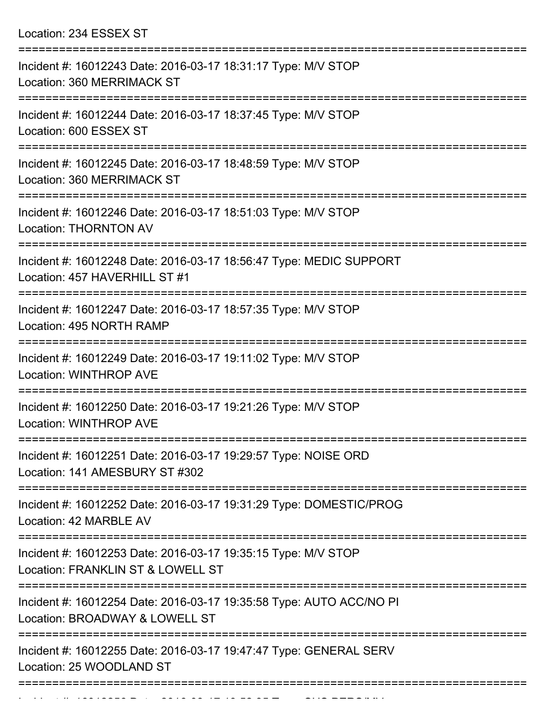Location: 234 ESSEX ST

| Incident #: 16012243 Date: 2016-03-17 18:31:17 Type: M/V STOP<br>Location: 360 MERRIMACK ST                               |
|---------------------------------------------------------------------------------------------------------------------------|
| Incident #: 16012244 Date: 2016-03-17 18:37:45 Type: M/V STOP<br>Location: 600 ESSEX ST                                   |
| Incident #: 16012245 Date: 2016-03-17 18:48:59 Type: M/V STOP<br>Location: 360 MERRIMACK ST                               |
| Incident #: 16012246 Date: 2016-03-17 18:51:03 Type: M/V STOP<br><b>Location: THORNTON AV</b>                             |
| Incident #: 16012248 Date: 2016-03-17 18:56:47 Type: MEDIC SUPPORT<br>Location: 457 HAVERHILL ST #1                       |
| Incident #: 16012247 Date: 2016-03-17 18:57:35 Type: M/V STOP<br>Location: 495 NORTH RAMP                                 |
| Incident #: 16012249 Date: 2016-03-17 19:11:02 Type: M/V STOP<br><b>Location: WINTHROP AVE</b>                            |
| Incident #: 16012250 Date: 2016-03-17 19:21:26 Type: M/V STOP<br><b>Location: WINTHROP AVE</b>                            |
| Incident #: 16012251 Date: 2016-03-17 19:29:57 Type: NOISE ORD<br>Location: 141 AMESBURY ST #302                          |
| =========================<br>Incident #: 16012252 Date: 2016-03-17 19:31:29 Type: DOMESTIC/PROG<br>Location: 42 MARBLE AV |
| Incident #: 16012253 Date: 2016-03-17 19:35:15 Type: M/V STOP<br>Location: FRANKLIN ST & LOWELL ST                        |
| Incident #: 16012254 Date: 2016-03-17 19:35:58 Type: AUTO ACC/NO PI<br>Location: BROADWAY & LOWELL ST                     |
| Incident #: 16012255 Date: 2016-03-17 19:47:47 Type: GENERAL SERV<br>Location: 25 WOODLAND ST                             |
|                                                                                                                           |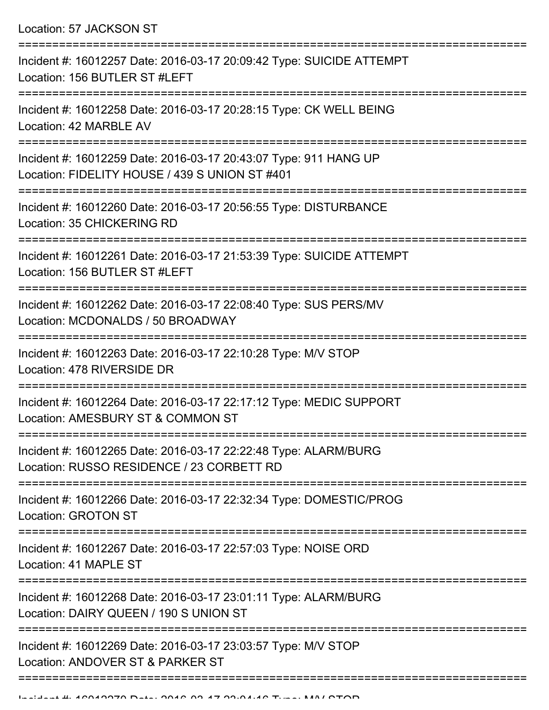Location: 57 JACKSON ST

| Incident #: 16012257 Date: 2016-03-17 20:09:42 Type: SUICIDE ATTEMPT<br>Location: 156 BUTLER ST #LEFT              |
|--------------------------------------------------------------------------------------------------------------------|
| Incident #: 16012258 Date: 2016-03-17 20:28:15 Type: CK WELL BEING<br>Location: 42 MARBLE AV                       |
| Incident #: 16012259 Date: 2016-03-17 20:43:07 Type: 911 HANG UP<br>Location: FIDELITY HOUSE / 439 S UNION ST #401 |
| Incident #: 16012260 Date: 2016-03-17 20:56:55 Type: DISTURBANCE<br>Location: 35 CHICKERING RD                     |
| Incident #: 16012261 Date: 2016-03-17 21:53:39 Type: SUICIDE ATTEMPT<br>Location: 156 BUTLER ST #LEFT              |
| Incident #: 16012262 Date: 2016-03-17 22:08:40 Type: SUS PERS/MV<br>Location: MCDONALDS / 50 BROADWAY              |
| Incident #: 16012263 Date: 2016-03-17 22:10:28 Type: M/V STOP<br>Location: 478 RIVERSIDE DR                        |
| Incident #: 16012264 Date: 2016-03-17 22:17:12 Type: MEDIC SUPPORT<br>Location: AMESBURY ST & COMMON ST            |
| Incident #: 16012265 Date: 2016-03-17 22:22:48 Type: ALARM/BURG<br>Location: RUSSO RESIDENCE / 23 CORBETT RD       |
| Incident #: 16012266 Date: 2016-03-17 22:32:34 Type: DOMESTIC/PROG<br><b>Location: GROTON ST</b>                   |
| Incident #: 16012267 Date: 2016-03-17 22:57:03 Type: NOISE ORD<br>Location: 41 MAPLE ST                            |
| Incident #: 16012268 Date: 2016-03-17 23:01:11 Type: ALARM/BURG<br>Location: DAIRY QUEEN / 190 S UNION ST          |
| Incident #: 16012269 Date: 2016-03-17 23:03:57 Type: M/V STOP<br>Location: ANDOVER ST & PARKER ST                  |
|                                                                                                                    |